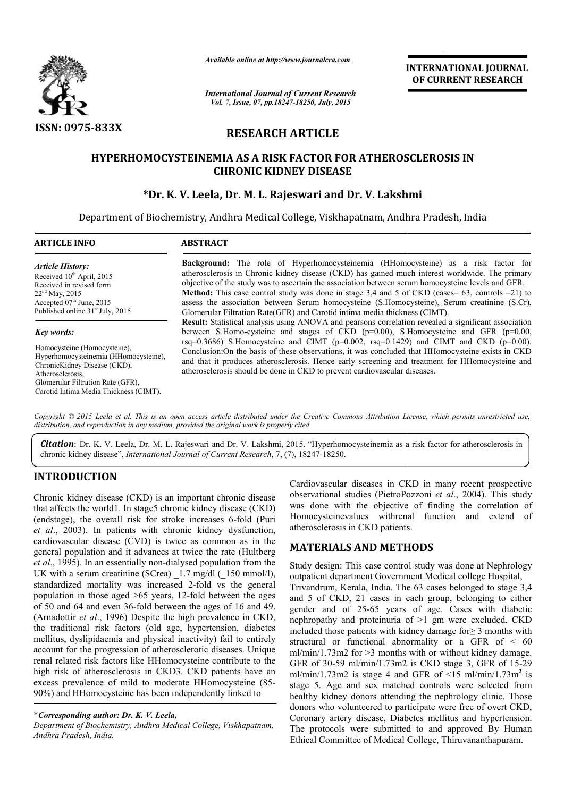

*Available online at http://www.journalcra.com*

*International Journal of Current Research Vol. 7, Issue, 07, pp.18247-18250, July, 2015*

INTERNATIONAL INTERNATIONAL JOURNAL OF CURRENT RESEARCH

# RESEARCH ARTICLE

## HYPERHOMOCYSTEINEMIA AS A RISK FACTOR FOR ATHEROSCLEROSIS IN CHRONIC KIDNEY DISEASE

### \*Dr. K. V. Leela, Dr. M. L. Rajeswari and Dr. V. Lakshmi

Department of Biochemistry, Andhra Medical College, Viskhapatnam, Andhra Pradesh Andhra Pradesh, India

| <b>ARTICLE INFO</b>                                                                                                                                                                                      | <b>ABSTRACT</b>                                                                                                                                                                                                                                                                                                                                                                                                                                                                                                                                                                              |  |  |  |  |
|----------------------------------------------------------------------------------------------------------------------------------------------------------------------------------------------------------|----------------------------------------------------------------------------------------------------------------------------------------------------------------------------------------------------------------------------------------------------------------------------------------------------------------------------------------------------------------------------------------------------------------------------------------------------------------------------------------------------------------------------------------------------------------------------------------------|--|--|--|--|
| <b>Article History:</b><br>Received 10 <sup>th</sup> April, 2015<br>Received in revised form<br>$22nd$ May, 2015<br>Accepted $07th$ June, 2015<br>Published online 31 <sup>st</sup> July, 2015           | <b>Background:</b> The role of Hyperhomocysteinemia (HHomocysteine) as a risk factor for<br>atherosclerosis in Chronic kidney disease (CKD) has gained much interest worldwide. The primary<br>objective of the study was to ascertain the association between serum homocysteine levels and GFR.<br><b>Method:</b> This case control study was done in stage 3,4 and 5 of CKD (cases = 63, controls = 21) to<br>assess the association between Serum homocysteine (S.Homocysteine), Serum creatinine (S.Cr),<br>Glomerular Filtration Rate (GFR) and Carotid intima media thickness (CIMT). |  |  |  |  |
| Key words:                                                                                                                                                                                               | <b>Result:</b> Statistical analysis using ANOVA and pearsons correlation revealed a significant association<br>between S.Homo-cysteine and stages of CKD $(p=0.00)$ , S.Homocysteine and GFR $(p=0.00)$ ,<br>rsq=0.3686) S.Homocysteine and CIMT ( $p=0.002$ , rsq=0.1429) and CIMT and CKD ( $p=0.00$ ).                                                                                                                                                                                                                                                                                    |  |  |  |  |
| Homocysteine (Homocysteine),<br>Hyperhomocysteinemia (HHomocysteine),<br>ChronicKidney Disease (CKD),<br>Atherosclerosis,<br>Glomerular Filtration Rate (GFR),<br>Carotid Intima Media Thickness (CIMT). | Conclusion: On the basis of these observations, it was concluded that HHomocysteine exists in CKD<br>and that it produces atherosclerosis. Hence early screening and treatment for HHomocysteine and<br>atherosclerosis should be done in CKD to prevent cardiovascular diseases.                                                                                                                                                                                                                                                                                                            |  |  |  |  |

Copyright © 2015 Leela et al. This is an open access article distributed under the Creative Commons Attribution License, which permits unrestricted use, *distribution, and reproduction in any medium, provided the original work is properly cited.*

Citation: Dr. K. V. Leela, Dr. M. L. Rajeswari and Dr. V. Lakshmi, 2015. "Hyperhomocysteinemia as a risk factor for atherosclerosis in chronic kidney disease", *International Journal of Current Research* , 7, (7), 18247-18250.

### INTRODUCTION

Chronic kidney disease (CKD) is an important chronic disease that affects the world1. In stage5 chronic kidney disease (CKD) (endstage), the overall risk for stroke increases 6 6-fold (Puri *et al*., 2003). In patients with chronic kidney dysfunction, cardiovascular disease (CVD) is twice as common as in the general population and it advances at twice the r *et al*., 1995). In an essentially non-dialysed population from the UK with a serum creatinine (SCrea)  $1.7 \text{ mg/dl}$  ( $150 \text{ mmol/l}$ ), standardized mortality was increased 2-fold vs the general population in those aged  $>65$  years, 12-fold between the ages of 50 and 64 and even 36-fold between the ages of 16 and 49. (Arnadottir *et al*., 1996) Despite the high prevalence in CKD, the traditional risk factors (old age, hypertension, diabetes mellitus, dyslipidaemia and physical inactivity) fail to entirely account for the progression of atherosclerotic diseases. Unique renal related risk factors like HHomocysteine contribute to the high risk of atherosclerosis in CKD3. CKD patients have an excess prevalence of mild to moderate HHomocysteine (85 (85- 90%) and HHomocysteine has been independently linked to In patients with chronic kidney dysfunction,<br>r disease (CVD) is twice as common as in the<br>lation and it advances at twice the rate (Hultberg dialysed population from the<br>a) 1.7 mg/dl (150 mmol/l),<br>ased 2-fold vs the general<br>rs, 12-fold between the ages Cardiovascular diseases in CKD in many recent prospective<br>
distance (CKD) is an important chronic disease observational studies (PietroPezzoni et al., 2004). This study<br>
orderl. In stages chronic kidney disease (CKD) was

*Department of Biochemistry, Andhra Medical College, Viskhapatnam, Andhra Pradesh, India.*

Cardiovascular diseases in CKD in many recent prospective observational studies (PietroPozzoni *et al.*, 2004). This study was done with the objective of finding the correlation of Homocysteinevalues withrenal function and extend of atherosclerosis in CKD patients. atherosclerosis in CKD patients.

### MATERIALS AND METHODS METHODS

Study design: This case control study was done at Nephrology outpatient department Government Medical college Hospital, outpatient department Government Medical college Hospital,<br>Trivandrum, Kerala, India. The 63 cases belonged to stage 3,4 and 5 of CKD, 21 cases in each group, belonging to either gender and of 25-65 years of age. Cases with diabetic nephropathy and proteinuria of >1 gm were excluded. CKD included those patients with kidney damage for  $\geq 3$  months with structural or functional abnormality or a GFR of < 60 structural or functional abnormality or a GFR of  $\leq 60$  ml/min/1.73m2 for >3 months with or without kidney damage. GFR of 30-59 ml/min/1.73m2 is CKD stage 3, GFR of 15-29 ml/min/1.73m2 is stage 4 and GFR of  $\leq 15$  ml/min/1.73m<sup>2</sup> is stage 5. Age and sex matched controls were selected from stage 5. Age and sex matched controls were selected from healthy kidney donors attending the nephrology clinic. Those donors who volunteered to participate were free of overt CKD, Coronary artery disease, Diabetes mellitus and hypertension. The protocols were submitted to and approved By Human Ethical Committee of Medical College, Thiruvananthapuram. CKD, 21 cases in each group, belonging to either nd of 25-65 years of age. Cases with diabetic hy and proteinuria of >1 gm were excluded. CKD hose patients with kidney damage for  $\geq$  3 months with and were submitted and Medical

<sup>\*</sup>*Corresponding author: Dr. K. V. Leela,*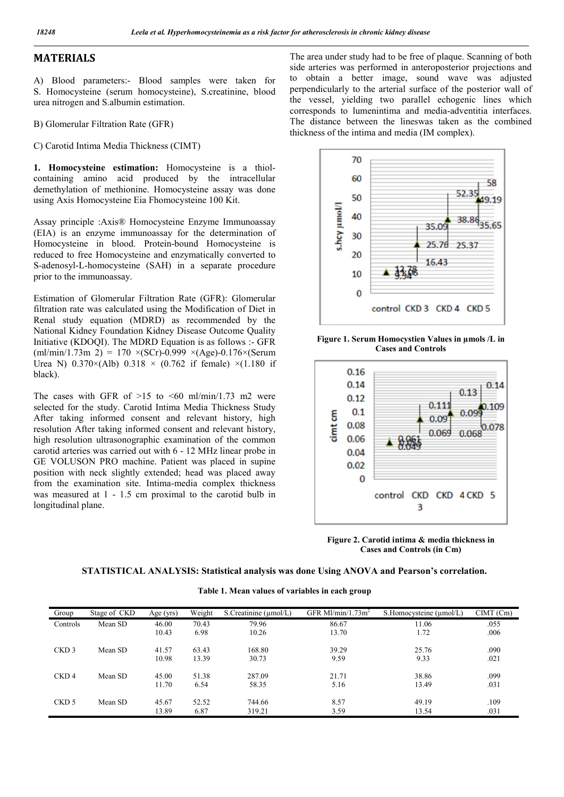## MATERIALS

A) Blood parameters:- Blood samples were taken for S. Homocysteine (serum homocysteine), S.creatinine, blood urea nitrogen and S.albumin estimation.

B) Glomerular Filtration Rate (GFR)

C) Carotid Intima Media Thickness (CIMT)

1. Homocysteine estimation: Homocysteine is a thiolcontaining amino acid produced by the intracellular demethylation of methionine. Homocysteine assay was done using Axis Homocysteine Eia Fhomocysteine 100 Kit.

Assay principle :Axis® Homocysteine Enzyme Immunoassay (EIA) is an enzyme immunoassay for the determination of Homocysteine in blood. Protein-bound Homocysteine is reduced to free Homocysteine and enzymatically converted to S-adenosyl-L-homocysteine (SAH) in a separate procedure prior to the immunoassay.

Estimation of Glomerular Filtration Rate (GFR): Glomerular filtration rate was calculated using the Modification of Diet in Renal study equation (MDRD) as recommended by the National Kidney Foundation Kidney Disease Outcome Quality Initiative (KDOQI). The MDRD Equation is as follows :- GFR  $(ml/min/1.73m 2) = 170 \times (SCr)-0.999 \times (Age)-0.176 \times (Serum)$ Urea N)  $0.370 \times (Alb)$   $0.318 \times (0.762$  if female)  $\times (1.180)$  if black).

The cases with GFR of  $>15$  to  $\leq 60$  ml/min/1.73 m2 were selected for the study. Carotid Intima Media Thickness Study After taking informed consent and relevant history, high resolution After taking informed consent and relevant history, high resolution ultrasonographic examination of the common carotid arteries was carried out with 6 - 12 MHz linear probe in GE VOLUSON PRO machine. Patient was placed in supine position with neck slightly extended; head was placed away from the examination site. Intima-media complex thickness was measured at 1 - 1.5 cm proximal to the carotid bulb in longitudinal plane.

The area under study had to be free of plaque. Scanning of both side arteries was performed in anteroposterior projections and to obtain a better image, sound wave was adjusted perpendicularly to the arterial surface of the posterior wall of the vessel, yielding two parallel echogenic lines which corresponds to lumenintima and media-adventitia interfaces. The distance between the lineswas taken as the combined thickness of the intima and media (IM complex).



Figure 1. Serum Homocystien Values in µmols /L in Cases and Controls



Figure 2. Carotid intima & media thickness in Cases and Controls (in Cm)

#### STATISTICAL ANALYSIS: Statistical analysis was done Using ANOVA and Pearson's correlation.

Table 1. Mean values of variables in each group

| Group            | Stage of CKD | Age $(yrs)$ | Weight | S. Creatinine $(\mu$ mol/L) | GFR MI/min/1.73 $m2$ | S. Homocysteine $(\mu$ mol/L) | CIMT(Cm) |
|------------------|--------------|-------------|--------|-----------------------------|----------------------|-------------------------------|----------|
| Controls         | Mean SD      | 46.00       | 70.43  | 79.96                       | 86.67                | 11.06                         | .055     |
|                  |              | 10.43       | 6.98   | 10.26                       | 13.70                | 1.72                          | .006     |
| CKD <sub>3</sub> | Mean SD      | 41.57       | 63.43  | 168.80                      | 39.29                | 25.76                         | .090     |
|                  |              | 10.98       | 13.39  | 30.73                       | 9.59                 | 9.33                          | .021     |
| CKD <sub>4</sub> | Mean SD      | 45.00       | 51.38  | 287.09                      | 21.71                | 38.86                         | .099     |
|                  |              | 11.70       | 6.54   | 58.35                       | 5.16                 | 13.49                         | .031     |
| CKD <sub>5</sub> | Mean SD      | 45.67       | 52.52  | 744.66                      | 8.57                 | 49.19                         | .109     |
|                  |              | 13.89       | 6.87   | 319.21                      | 3.59                 | 13.54                         | .031     |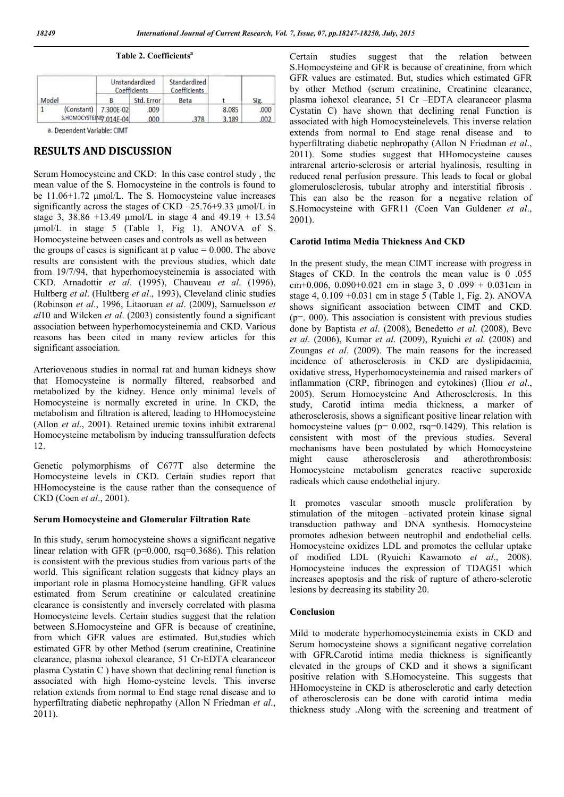|  | Table 2. Coefficients <sup>a</sup> |
|--|------------------------------------|
|--|------------------------------------|

|       |                          |           | Unstandardized<br>Coefficients | Standardized<br>Coefficients |       |       |
|-------|--------------------------|-----------|--------------------------------|------------------------------|-------|-------|
| Model |                          | В         | Std. Error                     | Beta                         |       | Sig.  |
|       | (Constant)               | 7.300E-02 | .009                           |                              | 8.085 | .000. |
|       | S.HOMOCYSTEINE 7.014E-04 |           | .000                           | .378                         | 3.189 | .002  |

a. Dependent Variable: CIMT

### RESULTS AND DISCUSSION

Serum Homocysteine and CKD: In this case control study , the mean value of the S. Homocysteine in the controls is found to be 11.06+1.72 μmol/L. The S. Homocysteine value increases significantly across the stages of CKD –25.76+9.33 μmol/L in stage 3, 38.86 +13.49 μmol/L in stage 4 and 49.19 + 13.54 μmol/L in stage 5 (Table 1, Fig 1). ANOVA of S. Homocysteine between cases and controls as well as between

the groups of cases is significant at  $p$  value  $= 0.000$ . The above results are consistent with the previous studies, which date from 19/7/94, that hyperhomocysteinemia is associated with CKD. Arnadottir *et al*. (1995), Chauveau *et al*. (1996), Hultberg *et al*. (Hultberg *et al*., 1993), Cleveland clinic studies (Robinson *et al*., 1996, Litaoruan *et al*. (2009), Samuelsson *et al*10 and Wilcken *et al*. (2003) consistently found a significant association between hyperhomocysteinemia and CKD. Various reasons has been cited in many review articles for this significant association.

Arteriovenous studies in normal rat and human kidneys show that Homocysteine is normally filtered, reabsorbed and metabolized by the kidney. Hence only minimal levels of Homocysteine is normally excreted in urine. In CKD, the metabolism and filtration is altered, leading to HHomocysteine (Allon *et al*., 2001). Retained uremic toxins inhibit extrarenal Homocysteine metabolism by inducing transsulfuration defects 12.

Genetic polymorphisms of C677T also determine the Homocysteine levels in CKD. Certain studies report that HHomocysteine is the cause rather than the consequence of CKD (Coen *et al*., 2001).

#### Serum Homocysteine and Glomerular Filtration Rate

In this study, serum homocysteine shows a significant negative linear relation with GFR (p=0.000, rsq=0.3686). This relation is consistent with the previous studies from various parts of the world. This significant relation suggests that kidney plays an important role in plasma Homocysteine handling. GFR values estimated from Serum creatinine or calculated creatinine clearance is consistently and inversely correlated with plasma Homocysteine levels. Certain studies suggest that the relation between S.Homocysteine and GFR is because of creatinine, from which GFR values are estimated. But,studies which estimated GFR by other Method (serum creatinine, Creatinine clearance, plasma iohexol clearance, 51 Cr-EDTA clearanceor plasma Cystatin C ) have shown that declining renal function is associated with high Homo-cysteine levels. This inverse relation extends from normal to End stage renal disease and to hyperfiltrating diabetic nephropathy (Allon N Friedman *et al*., 2011).

Certain studies suggest that the relation between S.Homocysteine and GFR is because of creatinine, from which GFR values are estimated. But, studies which estimated GFR by other Method (serum creatinine, Creatinine clearance, plasma iohexol clearance, 51 Cr –EDTA clearanceor plasma Cystatin C) have shown that declining renal Function is associated with high Homocysteinelevels. This inverse relation extends from normal to End stage renal disease and to hyperfiltrating diabetic nephropathy (Allon N Friedman *et al*., 2011). Some studies suggest that HHomocysteine causes intrarenal arterio-sclerosis or arterial hyalinosis, resulting in reduced renal perfusion pressure. This leads to focal or global glomerulosclerosis, tubular atrophy and interstitial fibrosis . This can also be the reason for a negative relation of S.Homocysteine with GFR11 (Coen Van Guldener *et al*., 2001).

#### Carotid Intima Media Thickness And CKD

In the present study, the mean CIMT increase with progress in Stages of CKD. In the controls the mean value is 0 .055 cm+0.006, 0.090+0.021 cm in stage 3, 0 .099 + 0.031 cm in stage 4,  $0.109 + 0.031$  cm in stage 5 (Table 1, Fig. 2). ANOVA shows significant association between CIMT and CKD.  $(p=.000)$ . This association is consistent with previous studies done by Baptista *et al*. (2008), Benedetto *et al*. (2008), Bevc *et al*. (2006), Kumar *et al*. (2009), Ryuichi *et al*. (2008) and Zoungas *et al*. (2009). The main reasons for the increased incidence of atherosclerosis in CKD are dyslipidaemia, oxidative stress, Hyperhomocysteinemia and raised markers of inflammation (CRP, fibrinogen and cytokines) (Iliou *et al*., 2005). Serum Homocysteine And Atherosclerosis. In this study, Carotid intima media thickness, a marker of atherosclerosis, shows a significant positive linear relation with homocysteine values ( $p= 0.002$ , rsq=0.1429). This relation is consistent with most of the previous studies. Several mechanisms have been postulated by which Homocysteine might cause atherosclerosis and atherothrombosis: Homocysteine metabolism generates reactive superoxide radicals which cause endothelial injury.

It promotes vascular smooth muscle proliferation by stimulation of the mitogen –activated protein kinase signal transduction pathway and DNA synthesis. Homocysteine promotes adhesion between neutrophil and endothelial cells. Homocysteine oxidizes LDL and promotes the cellular uptake of modified LDL (Ryuichi Kawamoto *et al*., 2008). Homocysteine induces the expression of TDAG51 which increases apoptosis and the risk of rupture of athero-sclerotic lesions by decreasing its stability 20.

#### Conclusion

Mild to moderate hyperhomocysteinemia exists in CKD and Serum homocysteine shows a significant negative correlation with GFR.Carotid intima media thickness is significantly elevated in the groups of CKD and it shows a significant positive relation with S.Homocysteine. This suggests that HHomocysteine in CKD is atherosclerotic and early detection of atherosclerosis can be done with carotid intima media thickness study .Along with the screening and treatment of